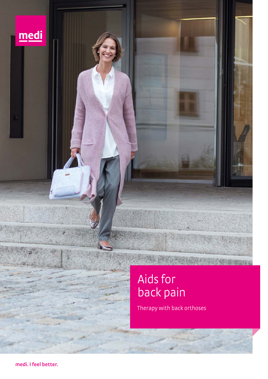

# Aids for back pain

Therapy with back orthoses

STACK PARTIES

**medi. I feel better.**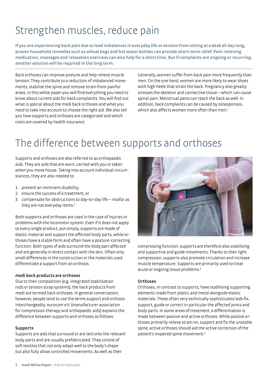## Strengthen muscles, reduce pain

**If you are experiencing back pain due to load imbalances in everyday life or tension from sitting at a desk all day long, proven household remedies such as wheat bags and hot water bottles can provide short-term relief. Pain-relieving medication, massages and relaxation exercises can also help for a short time. But if complaints are ongoing or recurring, another solution will be required in the long term.** 

Back orthoses can improve posture and help relieve muscle tension. They contribute to a reduction of imbalanced movements, stabilise the spine and remove strain from painful areas. In this white paper you will find everything you need to know about current aids for back complaints. You will find out what is special about the medi back orthoses and what you need to take into account to choose the right aid. We also tell you how supports and orthoses are categorised and which costs are covered by health insurance.

Generally, women suffer from back pain more frequently than men. On the one hand, women are more likely to wear shoes with high heels that strain the back. Pregnancy also greatly stresses the skeleton and connective tissue – which can cause spinal pain. Menstrual pains can reach the back as well. In addition, back complaints can be caused by osteoporosis, which also affects women more often than men.<sup>1</sup>

## The difference between supports and orthoses

Supports and orthoses are also referred to as orthopaedic aids. They are aids that are worn, carried with you or taken when you move house. Taking into account individual circumstances, they are also needed to

- 1. prevent an imminent disability,
- 2. ensure the success of a treatment, or
- 3. compensate for obstructions to day-to-day life insofar as they are not everyday items.<sup>2</sup>

Both supports and orthoses are used in the case of injuries or problems with the locomotor system. Even if it does not apply to every single product, put simply, supports are made of elastic material and support the affected body parts, while orthoses have a stable form and often have a posture-correcting function. Both types of aids surround the body part affected and are generally in direct contact with the skin. Often only small differences in the construction or the materials used differentiate a support from an orthosis.

#### **medi back products are orthoses**

Due to their composition (e.g. integrated stabilisation rods or tension strap systems), the back products from medi are termed back orthoses. In general conversation, however, people tend to use the terms support and orthosis interchangeably. eurocom e.V. (manufacturer association for compression therapy and orthopaedic aids) explains the difference between supports and orthoses as follows:

#### **Supports**

Supports are aids that surround or are laid onto the relevant body parts and are usually prefabricated. They consist of soft textiles that not only adapt well to the body's shape but also fully allow controlled movements. As well as their



compressing function, supports are therefore also stabilising and supportive and guide movements. Thanks to their light compression, supports also promote circulation and increase muscle temperature. Supports are primarily used to treat acute or ongoing tissue problems.<sup>3</sup>

### **Orthoses**

Orthoses, in contrast to supports, have stabilising supporting elements made from plastic and metal alongside elastic materials. These often very technically sophisticated aids fix, support, guide or correct in particular the affected joints and body parts. In some areas of treatment, a differentiation is made between passive and active orthoses. While passive orthoses primarily relieve strain on, support and fix the unstable spine, active orthoses should aid the active correction of the patient's impaired spine movement.4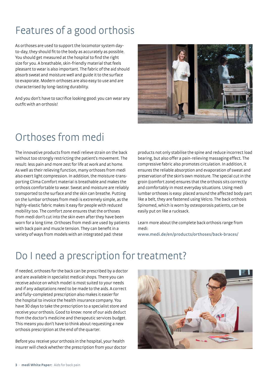## Features of a good orthosis

As orthoses are used to support the locomotor system dayto-day, they should fit to the body as accurately as possible. You should get measured at the hospital to find the right size for you. A breathable, skin-friendly material that feels pleasant to wear is also important. The fabric of the aid should absorb sweat and moisture well and guide it to the surface to evaporate. Modern orthoses are also easy to use and are characterised by long-lasting durability.

And you don't have to sacrifice looking good: you can wear any outfit with an orthosis!



## Orthoses from medi

The innovative products from medi relieve strain on the back without too strongly restricting the patient's movement. The result: less pain and more zest for life at work and at home. As well as their relieving function, many orthoses from medi also exert light compression. In addition, the moisture-transporting Clima Comfort material is breathable and makes the orthosis comfortable to wear. Sweat and moisture are reliably transported to the surface and the skin can breathe. Putting on the lumbar orthoses from medi is extremely simple, as the highly-elastic fabric makes it easy for people with reduced mobility too. The comfort zone ensures that the orthoses from medi don't cut into the skin even after they have been worn for a long time. Orthoses from medi are used by patients with back pain and muscle tension. They can benefit in a variety of ways from models with an integrated pad: these

products not only stabilise the spine and reduce incorrect load bearing, but also offer a pain-relieving massaging effect. The compressive fabric also promotes circulation. In addition, it ensures the reliable absorption and evaporation of sweat and preservation of the skin's own moisture. The special cut in the groin (comfort zone) ensures that the orthosis sits correctly and comfortably in most everyday situations. Using medi lumbar orthoses is easy: placed around the affected body part like a belt, they are fastened using Velcro. The back orthosis Spinomed, which is worn by osteoporosis patients, can be easily put on like a rucksack.

Learn more about the complete back orthosis range from medi: **www.medi.de/en/products/orthoses/back-braces/**

## Do I need a prescription for treatment?

If needed, orthoses for the back can be prescribed by a doctor and are available in specialist medical shops. There you can receive advice on which model is most suited to your needs and if any adaptations need to be made to the aids. A correct and fully-completed prescription also makes it easier for the hospital to invoice the health insurance company. You have 30 days to take the prescription to a specialist store and receive your orthosis. Good to know: none of our aids deduct from the doctor's medicine and therapeutic services budget. This means you don't have to think about requesting a new orthosis prescription at the end of the quarter.

Before you receive your orthosis in the hospital, your health insurer will check whether the prescription from your doctor